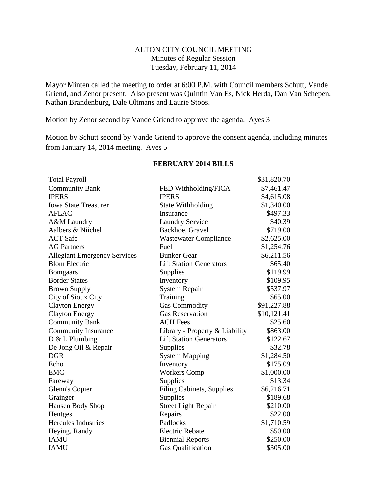## ALTON CITY COUNCIL MEETING Minutes of Regular Session Tuesday, February 11, 2014

Mayor Minten called the meeting to order at 6:00 P.M. with Council members Schutt, Vande Griend, and Zenor present. Also present was Quintin Van Es, Nick Herda, Dan Van Schepen, Nathan Brandenburg, Dale Oltmans and Laurie Stoos.

Motion by Zenor second by Vande Griend to approve the agenda. Ayes 3

Motion by Schutt second by Vande Griend to approve the consent agenda, including minutes from January 14, 2014 meeting. Ayes 5

| <b>Total Payroll</b>                |                                  | \$31,820.70 |
|-------------------------------------|----------------------------------|-------------|
| <b>Community Bank</b>               | FED Withholding/FICA             | \$7,461.47  |
| <b>IPERS</b>                        | <b>IPERS</b>                     | \$4,615.08  |
| <b>Iowa State Treasurer</b>         | State Withholding                | \$1,340.00  |
| <b>AFLAC</b>                        | Insurance                        | \$497.33    |
| A&M Laundry                         | <b>Laundry Service</b>           | \$40.39     |
| Aalbers & Niichel                   | Backhoe, Gravel                  | \$719.00    |
| <b>ACT</b> Safe                     | <b>Wastewater Compliance</b>     | \$2,625.00  |
| <b>AG Partners</b>                  | Fuel                             | \$1,254.76  |
| <b>Allegiant Emergency Services</b> | <b>Bunker Gear</b>               | \$6,211.56  |
| <b>Blom Electric</b>                | <b>Lift Station Generators</b>   | \$65.40     |
| <b>Bomgaars</b>                     | Supplies                         | \$119.99    |
| <b>Border States</b>                | Inventory                        | \$109.95    |
| <b>Brown Supply</b>                 | <b>System Repair</b>             | \$537.97    |
| City of Sioux City                  | Training                         | \$65.00     |
| <b>Clayton Energy</b>               | <b>Gas Commodity</b>             | \$91,227.88 |
| <b>Clayton Energy</b>               | <b>Gas Reservation</b>           | \$10,121.41 |
| <b>Community Bank</b>               | <b>ACH Fees</b>                  | \$25.60     |
| <b>Community Insurance</b>          | Library - Property & Liability   | \$863.00    |
| $D & L$ Plumbing                    | <b>Lift Station Generators</b>   | \$122.67    |
| De Jong Oil & Repair                | Supplies                         | \$32.78     |
| <b>DGR</b>                          | <b>System Mapping</b>            | \$1,284.50  |
| Echo                                | Inventory                        | \$175.09    |
| <b>EMC</b>                          | <b>Workers Comp</b>              | \$1,000.00  |
| Fareway                             | Supplies                         | \$13.34     |
| Glenn's Copier                      | <b>Filing Cabinets, Supplies</b> | \$6,216.71  |
| Grainger                            | Supplies                         | \$189.68    |
| Hansen Body Shop                    | <b>Street Light Repair</b>       | \$210.00    |
| Hentges                             | Repairs                          | \$22.00     |
| <b>Hercules Industries</b>          | Padlocks                         | \$1,710.59  |
| Heying, Randy                       | <b>Electric Rebate</b>           | \$50.00     |
| <b>IAMU</b>                         | <b>Biennial Reports</b>          | \$250.00    |
| <b>IAMU</b>                         | <b>Gas Qualification</b>         | \$305.00    |

## **FEBRUARY 2014 BILLS**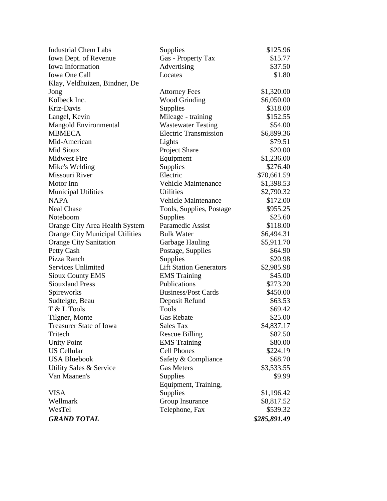| <b>Industrial Chem Labs</b>            | Supplies                       | \$125.96     |
|----------------------------------------|--------------------------------|--------------|
| Iowa Dept. of Revenue                  | Gas - Property Tax             | \$15.77      |
| Iowa Information                       | Advertising                    | \$37.50      |
| Iowa One Call                          | Locates                        | \$1.80       |
| Klay, Veldhuizen, Bindner, De          |                                |              |
| Jong                                   | <b>Attorney Fees</b>           | \$1,320.00   |
| Kolbeck Inc.                           | <b>Wood Grinding</b>           | \$6,050.00   |
| Kriz-Davis                             | Supplies                       | \$318.00     |
| Langel, Kevin                          | Mileage - training             | \$152.55     |
| Mangold Environmental                  | <b>Wastewater Testing</b>      | \$54.00      |
| <b>MBMECA</b>                          | <b>Electric Transmission</b>   | \$6,899.36   |
| Mid-American                           | Lights                         | \$79.51      |
| Mid Sioux                              | Project Share                  | \$20.00      |
| <b>Midwest Fire</b>                    | Equipment                      | \$1,236.00   |
| Mike's Welding                         | Supplies                       | \$276.40     |
| Missouri River                         | Electric                       | \$70,661.59  |
| Motor Inn                              | <b>Vehicle Maintenance</b>     | \$1,398.53   |
| <b>Municipal Utilities</b>             | <b>Utilities</b>               | \$2,790.32   |
| <b>NAPA</b>                            | <b>Vehicle Maintenance</b>     | \$172.00     |
| <b>Neal Chase</b>                      | Tools, Supplies, Postage       | \$955.25     |
| Noteboom                               | <b>Supplies</b>                | \$25.60      |
| Orange City Area Health System         | Paramedic Assist               | \$118.00     |
| <b>Orange City Municipal Utilities</b> | <b>Bulk Water</b>              | \$6,494.31   |
| <b>Orange City Sanitation</b>          | Garbage Hauling                | \$5,911.70   |
| Petty Cash                             | Postage, Supplies              | \$64.90      |
| Pizza Ranch                            | <b>Supplies</b>                | \$20.98      |
| Services Unlimited                     | <b>Lift Station Generators</b> | \$2,985.98   |
| <b>Sioux County EMS</b>                | <b>EMS</b> Training            | \$45.00      |
| <b>Siouxland Press</b>                 | Publications                   | \$273.20     |
| Spireworks                             | <b>Business/Post Cards</b>     | \$450.00     |
| Sudtelgte, Beau                        | Deposit Refund                 | \$63.53      |
| T & L Tools                            | <b>Tools</b>                   | \$69.42      |
| Tilgner, Monte                         | <b>Gas Rebate</b>              | \$25.00      |
| <b>Treasurer State of Iowa</b>         | <b>Sales Tax</b>               | \$4,837.17   |
| Tritech                                | <b>Rescue Billing</b>          | \$82.50      |
| <b>Unity Point</b>                     | <b>EMS</b> Training            | \$80.00      |
| <b>US Cellular</b>                     | <b>Cell Phones</b>             | \$224.19     |
| <b>USA Bluebook</b>                    | Safety & Compliance            | \$68.70      |
| Utility Sales & Service                | <b>Gas Meters</b>              | \$3,533.55   |
| Van Maanen's                           | Supplies                       | \$9.99       |
|                                        | Equipment, Training,           |              |
| <b>VISA</b>                            | Supplies                       | \$1,196.42   |
| Wellmark                               | Group Insurance                | \$8,817.52   |
| WesTel                                 | Telephone, Fax                 | \$539.32     |
| <b>GRAND TOTAL</b>                     |                                | \$285,891.49 |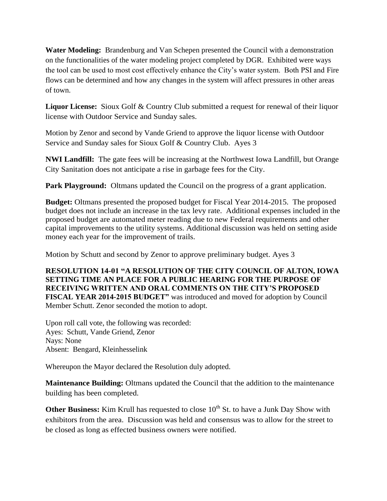**Water Modeling:** Brandenburg and Van Schepen presented the Council with a demonstration on the functionalities of the water modeling project completed by DGR. Exhibited were ways the tool can be used to most cost effectively enhance the City's water system. Both PSI and Fire flows can be determined and how any changes in the system will affect pressures in other areas of town.

**Liquor License:** Sioux Golf & Country Club submitted a request for renewal of their liquor license with Outdoor Service and Sunday sales.

Motion by Zenor and second by Vande Griend to approve the liquor license with Outdoor Service and Sunday sales for Sioux Golf & Country Club. Ayes 3

**NWI Landfill:** The gate fees will be increasing at the Northwest Iowa Landfill, but Orange City Sanitation does not anticipate a rise in garbage fees for the City.

**Park Playground:** Oltmans updated the Council on the progress of a grant application.

**Budget:** Oltmans presented the proposed budget for Fiscal Year 2014-2015. The proposed budget does not include an increase in the tax levy rate. Additional expenses included in the proposed budget are automated meter reading due to new Federal requirements and other capital improvements to the utility systems. Additional discussion was held on setting aside money each year for the improvement of trails.

Motion by Schutt and second by Zenor to approve preliminary budget. Ayes 3

**RESOLUTION 14-01 "A RESOLUTION OF THE CITY COUNCIL OF ALTON, IOWA SETTING TIME AN PLACE FOR A PUBLIC HEARING FOR THE PURPOSE OF RECEIVING WRITTEN AND ORAL COMMENTS ON THE CITY'S PROPOSED FISCAL YEAR 2014-2015 BUDGET"** was introduced and moved for adoption by Council Member Schutt. Zenor seconded the motion to adopt.

Upon roll call vote, the following was recorded: Ayes: Schutt, Vande Griend, Zenor Nays: None Absent: Bengard, Kleinhesselink

Whereupon the Mayor declared the Resolution duly adopted.

**Maintenance Building:** Oltmans updated the Council that the addition to the maintenance building has been completed.

**Other Business:** Kim Krull has requested to close 10<sup>th</sup> St. to have a Junk Day Show with exhibitors from the area. Discussion was held and consensus was to allow for the street to be closed as long as effected business owners were notified.